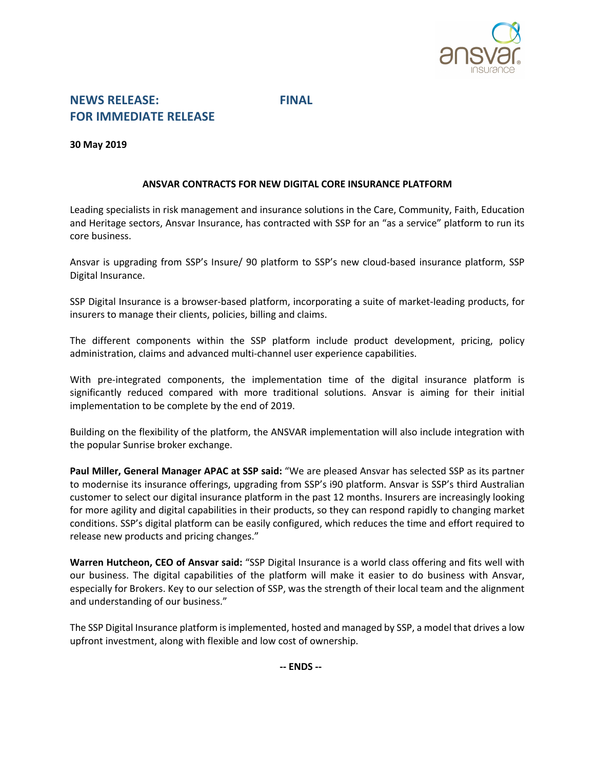

# **NEWS RELEASE: FINAL FOR IMMEDIATE RELEASE**

**30 May 2019**

# **ANSVAR CONTRACTS FOR NEW DIGITAL CORE INSURANCE PLATFORM**

Leading specialists in risk management and insurance solutions in the Care, Community, Faith, Education and Heritage sectors, Ansvar Insurance, has contracted with SSP for an "as a service" platform to run its core business.

Ansvar is upgrading from SSP's Insure/ 90 platform to SSP's new cloud-based insurance platform, SSP Digital Insurance.

SSP Digital Insurance is a browser-based platform, incorporating a suite of market-leading products, for insurers to manage their clients, policies, billing and claims.

The different components within the SSP platform include product development, pricing, policy administration, claims and advanced multi-channel user experience capabilities.

With pre-integrated components, the implementation time of the digital insurance platform is significantly reduced compared with more traditional solutions. Ansvar is aiming for their initial implementation to be complete by the end of 2019.

Building on the flexibility of the platform, the ANSVAR implementation will also include integration with the popular Sunrise broker exchange.

**Paul Miller, General Manager APAC at SSP said:** "We are pleased Ansvar has selected SSP as its partner to modernise its insurance offerings, upgrading from SSP's i90 platform. Ansvar is SSP's third Australian customer to select our digital insurance platform in the past 12 months. Insurers are increasingly looking for more agility and digital capabilities in their products, so they can respond rapidly to changing market conditions. SSP's digital platform can be easily configured, which reduces the time and effort required to release new products and pricing changes."

**Warren Hutcheon, CEO of Ansvar said:** "SSP Digital Insurance is a world class offering and fits well with our business. The digital capabilities of the platform will make it easier to do business with Ansvar, especially for Brokers. Key to our selection of SSP, was the strength of their local team and the alignment and understanding of our business."

The SSP Digital Insurance platform is implemented, hosted and managed by SSP, a model that drives a low upfront investment, along with flexible and low cost of ownership.

**-- ENDS --**